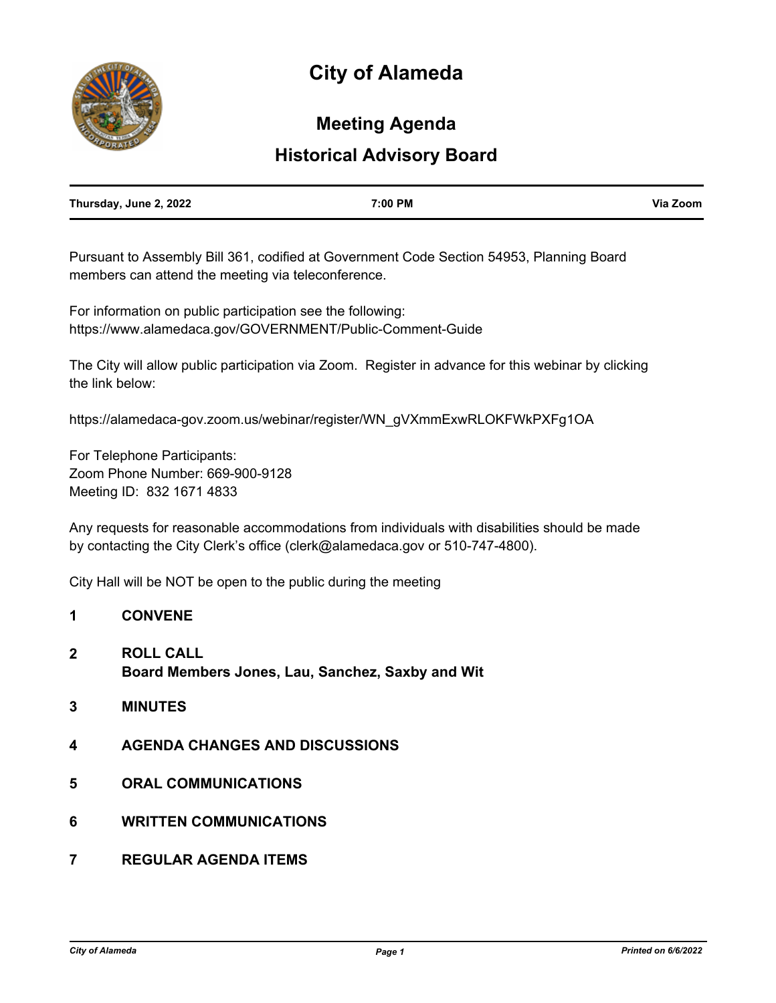# **City of Alameda**



## **Meeting Agenda**

### **Historical Advisory Board**

| Thursday, June 2, 2022 | 7:00 PM | Via Zoom |
|------------------------|---------|----------|
|                        |         |          |

Pursuant to Assembly Bill 361, codified at Government Code Section 54953, Planning Board members can attend the meeting via teleconference.

For information on public participation see the following: https://www.alamedaca.gov/GOVERNMENT/Public-Comment-Guide

The City will allow public participation via Zoom. Register in advance for this webinar by clicking the link below:

https://alamedaca-gov.zoom.us/webinar/register/WN\_gVXmmExwRLOKFWkPXFg1OA

For Telephone Participants: Zoom Phone Number: 669-900-9128 Meeting ID: 832 1671 4833

Any requests for reasonable accommodations from individuals with disabilities should be made by contacting the City Clerk's office (clerk@alamedaca.gov or 510-747-4800).

City Hall will be NOT be open to the public during the meeting

### **1 CONVENE**

- **2 ROLL CALL Board Members Jones, Lau, Sanchez, Saxby and Wit**
- **3 MINUTES**
- **4 AGENDA CHANGES AND DISCUSSIONS**
- **5 ORAL COMMUNICATIONS**
- **6 WRITTEN COMMUNICATIONS**
- **7 REGULAR AGENDA ITEMS**